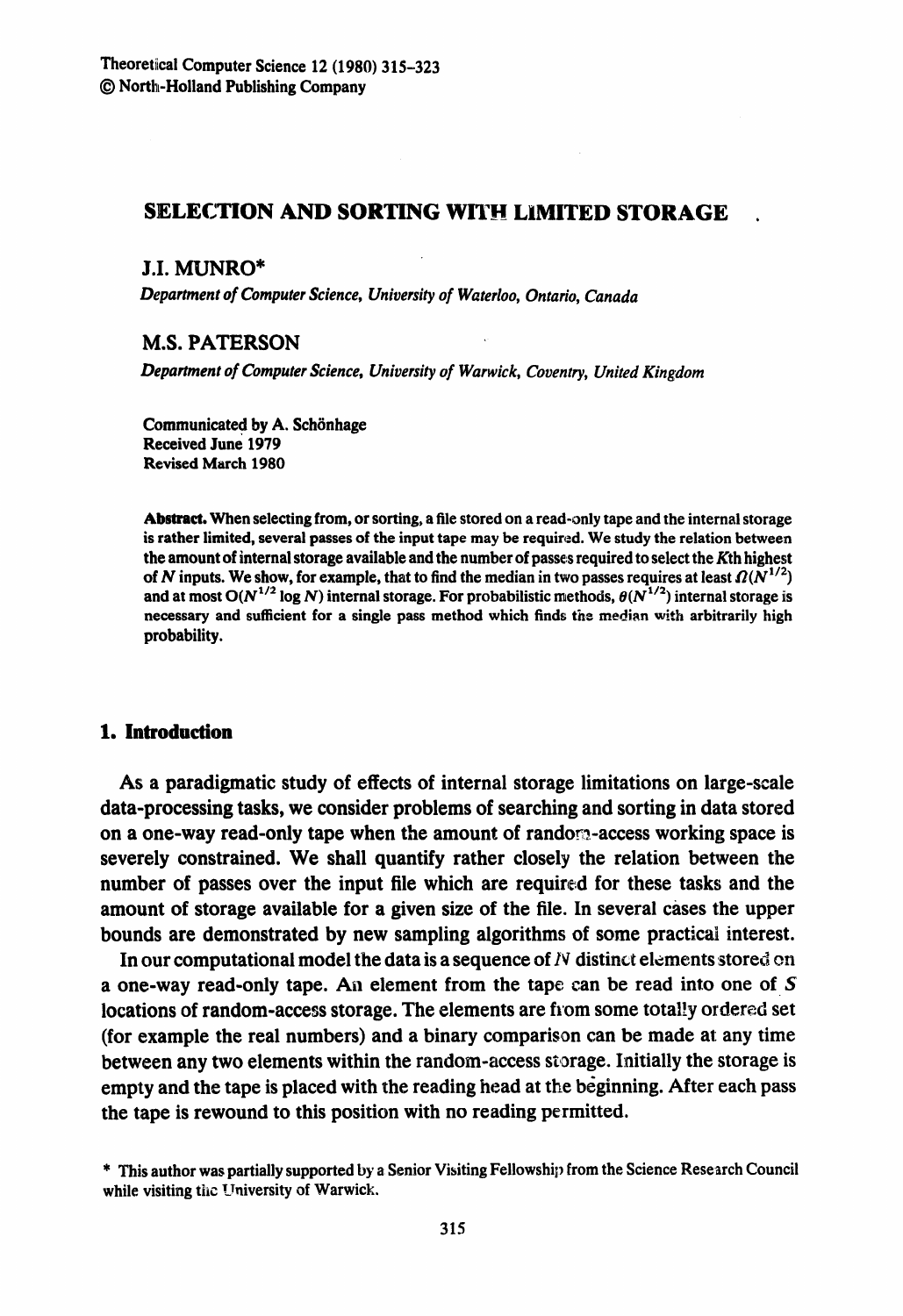# **SELECTION AND SORTING WITH LIMITED STORAGE**

### J.I. MUNRO\*

*Department of Computer Science, University of Waterloo, Ontario, Canada* 

## M.S. PATERSON

*Department of Computer Science, University of Warwick, Coventry, United Kingdom* 

**Communicated by A. Schönhage Received June 1979 Revised March 1980** 

**Abstract. When selecting from, or sorting, a file stored on a read-only tape and the internal storage is rather limited, several passes of the input tape may be required. We study the relation between the amount of internal storage available and the number of passe:s required to select the Kth highest**  of N inputs. We show, for example, that to find the median in two passes requires at least  $\Omega(N^{1/2})$ and at most  $O(N^{1/2} \log N)$  internal storage. For probabilistic methods,  $\theta(N^{1/2})$  internal storage is **necessary and sufficient for a single pass method which finds the median with arbitrarily high probability.** 

# 1. **Introduction**

As a paradigmatic study of effects of internal storage limitations on large-scale data-processing tasks, we consider problems of searching and sorting in data stored on a one-way read-only tape when the amount of random.-access working space is severely constrained. We shall quantify rather closely the relation between the number of passes over the input file which are required for these tasks and the amount of storage available for a given size of the file. In several cases the upper bounds are demonstrated by new sampling algorithms of some practical interest.

In our computational model the data is a sequence of  $N$  distinct elements stored on a one-way read-only tape. An element from the tape can be read into one of S locations of random-access storage. The elements are from some totally ordered set (for example the real numbers) and a binary comparison can be made at any time between any two elements within the random-access storage. Initially the storage is empty and the tape is placed with the reading head at the beginning. After each pass the tape is rewound to this position with no reading permitted.

**<sup>\*</sup> This author was partially supported by a Senior Visiting Fellowship from the Science Resezch Council**  while visiting the University of Warwick.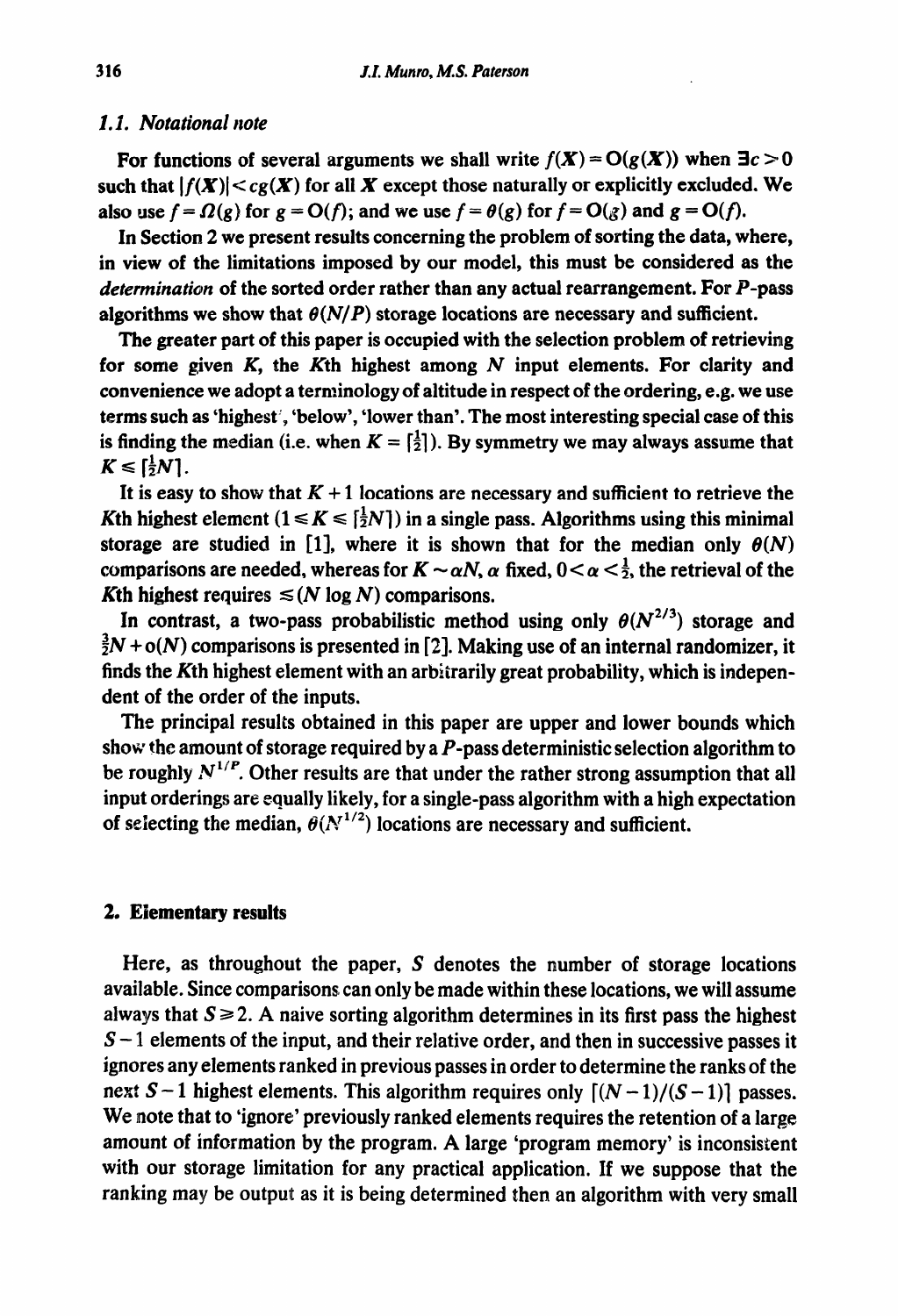#### *1.1. Notational note*

For functions of several arguments we shall write  $f(X) = O(g(X))$  when  $\exists c > 0$ such that  $|f(X)| < c_g(X)$  for all X except those naturally or explicitly excluded. We also use  $f = \Omega(g)$  for  $g = O(f)$ ; and we use  $f = \theta(g)$  for  $f = O(g)$  and  $g = O(f)$ .

In Section 2 we present results concerning the problem of sorting the data, where, in view of the limitations imposed by our model, this must be considered as the *determination* of the sorted order rather than any actual rearrangement. For P-pass algorithms we show that  $\theta(N/P)$  storage locations are necessary and sufficient.

The greater part of this paper is occupied with the selection problem of retrievimg for some given  $K$ , the Kth highest among  $N$  input elements. For clarity and convenience we adopt a terminology of altitude in respect of the ordering, e.g. we use terms such as 'highest', 'below', 'lower than'. The most interesting special case of this is finding the median (i.e. when  $K = \begin{bmatrix} 1 \\ 2 \end{bmatrix}$ ). By symmetry we may always assume that  $K \leqslant \lceil \frac{1}{2}N \rceil$ .

It is easy to show that  $K + 1$  locations are necessary and sufficient to retrieve the Kth highest element  $(1 \le K \le {\frac{1}{2}}N)$  in a single pass. Algorithms using this minimal storage are studied in [1], where it is shown that for the median only  $\theta(N)$ comparisons are needed, whereas for  $K \sim \alpha N$ ,  $\alpha$  fixed,  $0 \lt \alpha \lt \frac{1}{2}$ , the retrieval of the Kth highest requires  $\leq$  (N log N) comparisons.

In contrast, a two-pass probabilistic method using only  $\theta(N^{2/3})$  storage and  $\frac{3}{2}N$  + o(N) comparisons is presented in [2]. Making use of an internal randomizer, it finds the Kth highest element with an arbitrarily great probability, which is independent of the order of the inputs.

The principal results obtained in this paper are upper and lower bounds which show the amount of storage required by a  $P$ -pass deterministic selection algorithm to be roughly  $N^{1/P}$ . Other results are that under the rather strong assumption that all input orderings are equally likely, for a single-pass algorithm with a high expectation of selecting the median,  $\theta(N^{1/2})$  locations are necessary and sufficient.

#### 2. **Elementary results**

Here, as throughout the paper,  $S$  denotes the number of storage locations available. Since comparisons can only be made within these locations, we will assume always that  $S \ge 2$ . A naive sorting algorithm determines in its first pass the highest  $S-1$  elements of the input, and their relative order, and then in successive passes it ignores any elements ranked in previous passes in order to determine the ranks of the next S - 1 highest elements. This algorithm requires only  $[(N-1)/(S-1)]$  passes. We note that to 'ignore' previously ranked elements requires the retention of a large amount of information by the program. A large 'program memory' **is** inconsistent with our storage limitation for any practical application. If we suppose that the ranking may be output as it is being determined then an algorithm with very small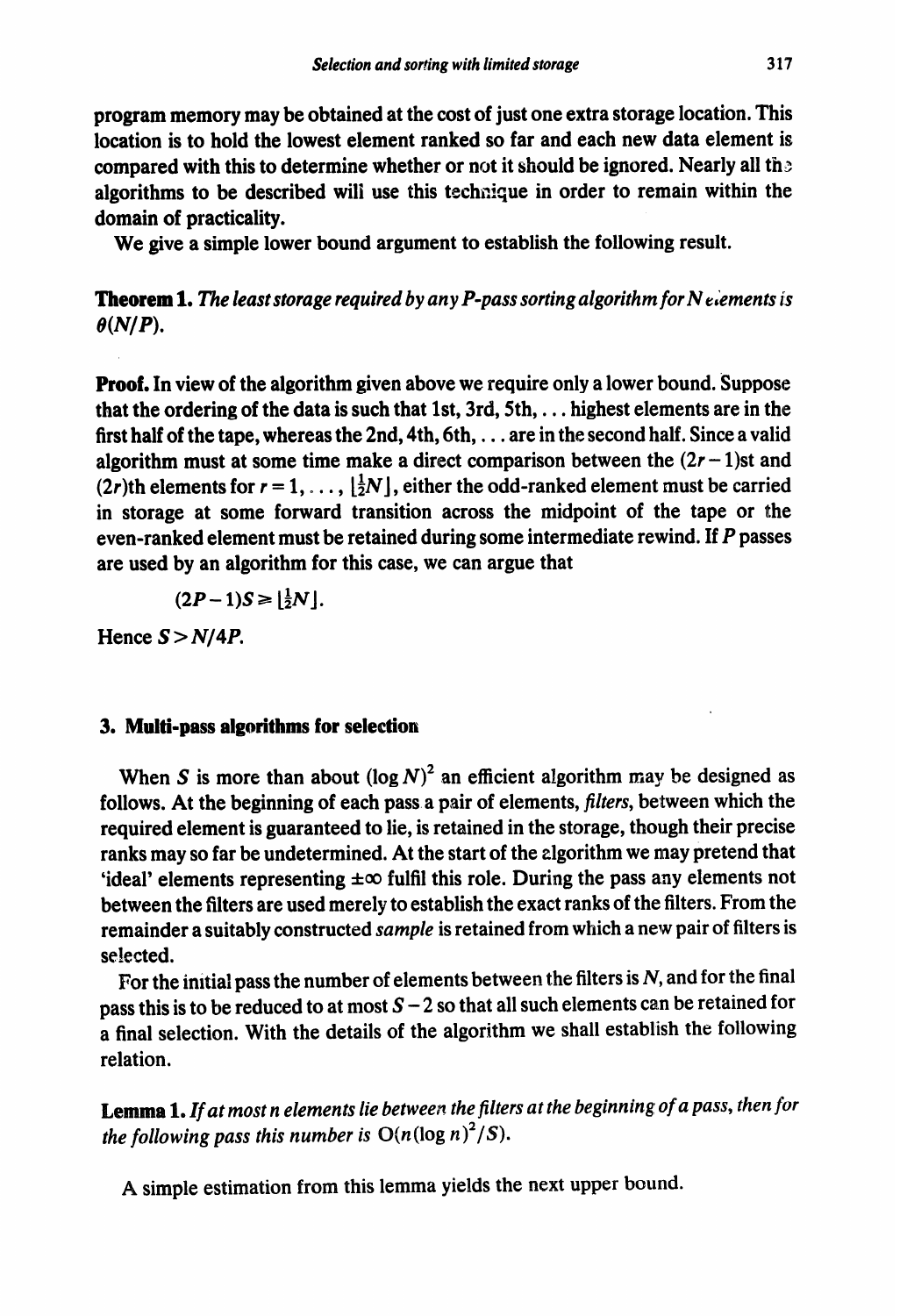program memory may be obtained at the cost of just one extra storage location. This location is to hold the lowest element ranked so far and each new data element is compared with this to determine whether or not it should be ignored. Nearly all the algorithms to be described will use this technique in order to remain within the domain of practicality.

We give a simple lower bound argument to establish the following result.

**Theorem 1.** The least storage required by any P-pass sorting algorithm for N elements is  $\theta(N/P)$ .

**Proof.** In view of the algorithm given above we require only a lower bound. Suppose that the ordering of the data is such that 1st,  $3rd$ ,  $5th$ ,  $\ldots$  highest elements are in the first half of the tape, whereas the 2nd, 4th, 6th, . . . are in the second half. Since a valid algorithm must at some time make a direct comparison between the  $(2r - 1)$ st and (2r)th elements for  $r = 1, \ldots, \left[\frac{1}{2}N\right]$ , either the odd-ranked element must be carried in storage at some forward transition across the midpoint of the tape or the even-ranked element must be retained during some intermediate rewind. If *P* passes are used by an algorithm for this case, we can argue that

$$
(2P-1)S \geq \left\lfloor \frac{1}{2}N \right\rfloor.
$$

Hence  $S > N/4P$ .

#### **3. Multi-pass algorithms for selection**

When S is more than about  $(\log N)^2$  an efficient algorithm may be designed as follows. At the beginning of each pass a pair of elements, *filters,* between which the required element is guaranteed to lie, is retained in the storage, though their precise ranks may so far be undetermined. At the start of the zlgorithm we may pretend that 'ideal' elements representing  $\pm \infty$  fulfil this role. During the pass any elements not between the filters are used merely to establish the exact ranks of the filters. From the remainder a suitably constructed *sample* is retained from which a new pair of filters is selected.

For the initial pass the number of elements between the filters is  $N$ , and for the final pass this is to be reduced to at most  $S - 2$  so that all such elements can be retained for a final selection. With the details of the algorithm we shall establish the following relation.

*emma* **1.** *If at most* **n** *elements lie between the filters at the beginning of a pass, then for the following pass this number is*  $O(n(\log n)^2/S)$ .

A simple estimation from this lemma yields the next upper bound.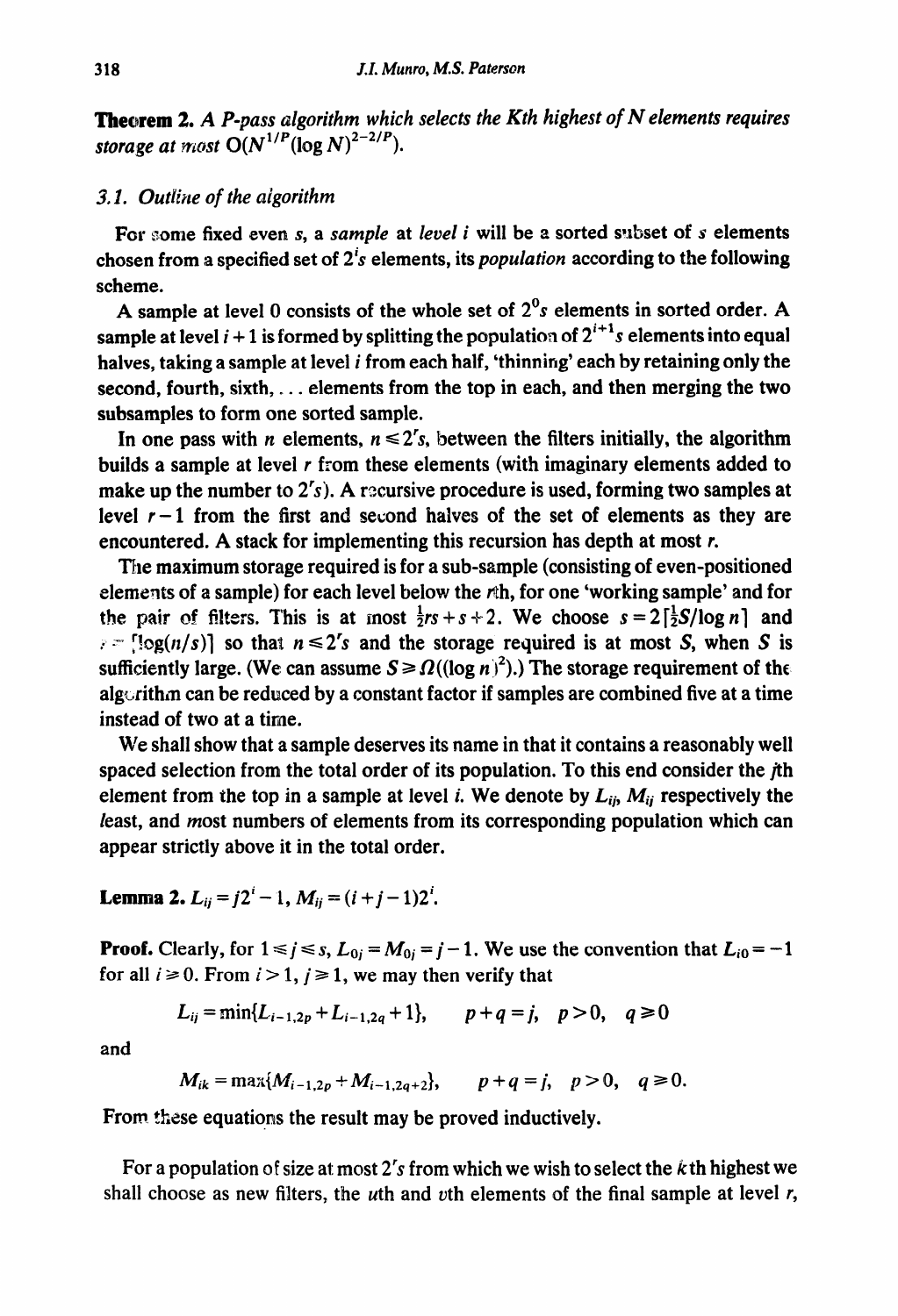*Thearem 2. A P-pass algorithm which selects the Kth highest of N elements requires storage at most*  $O(N^{1/P}(\log N)^{2-2/P})$ .

# *3.1. Outline of the algorithm*

For some fixed even s, a *sample* at *level i* will be a sorted subset of s elements chosen from a specified set of 2's elements, its *population* according to the following scheme.

A sample at level 0 consists of the whole set of  $2<sup>0</sup>s$  elements in sorted order. A sample at level  $i + 1$  is formed by splitting the population of  $2^{i+1}s$  elements into equal halves, taking a sample at level *i* from each half, 'thinning' each by retaining only the second, fourth, sixth,  $\ldots$  elements from the top in each, and then merging the two subsamples to form one sorted sample.

In one pass with *n* elements,  $n \leq 2<sup>r</sup>$ , between the filters initially, the algorithm builds a sample at level *r* from these elements (with imaginary elements added to make up the number to  $2^r$ s). A recursive procedure is used, forming two samples at level  $r-1$  from the first and second halves of the set of elements as they are encountered. A stack for implementing this recursion has depth at most *r.* 

*TEre* maximum storage required is for a sub-sample (consisting of even-positioned elements of a sample) for each level below the rth, for one 'working sample' and for the pair of filters. This is at most  $\frac{1}{2}rs + s + 2$ . We choose  $s = 2\left[\frac{1}{2}S/\log n\right]$  and  $r = \log(n/s)$  so that  $n \leq 2^r s$  and the storage required is at most S, when S is sufficiently large. (We can assume  $S \ge \Omega((\log n)^2)$ .) The storage requirement of the algorithm can be reduced by a constant factor if samples are combined five at a time instead of two at a time.

We shall show that a sample deserves its name in that it contains a reasonably well spaced selection from the total order of its population. To this end consider the jth element from the top in a sample at level *i*. We denote by  $L_{ii}$ ,  $M_{ii}$  respectively the least, and most numbers of elements from its corresponding population which can appear strictly above it in the total order.

**Lemma 2.**  $L_{ii} = j2^{i} - 1$ ,  $M_{ii} = (i + j - 1)2^{i}$ .

**Proof.** Clearly, for  $1 \le j \le s$ ,  $L_{0j} = M_{0j} = j - 1$ . We use the convention that  $L_{i0} = -1$ for all  $i \ge 0$ . From  $i > 1$ ,  $j \ge 1$ , we may then verify that

$$
L_{ij} = \min\{L_{i-1,2p} + L_{i-1,2q} + 1\}, \qquad p + q = j, \quad p > 0, \quad q \ge 0
$$

and

$$
M_{ik} = \max\{M_{i-1,2p} + M_{i-1,2q+2}\}, \qquad p+q=j, \quad p>0, \quad q \ge 0.
$$

From these equations the result may be proved inductively.

For a population of size at most 2's from which we wish to select the  $k$ th highest we shall choose as new filters, the *u*th and *v*th elements of the final sample at level  $r$ ,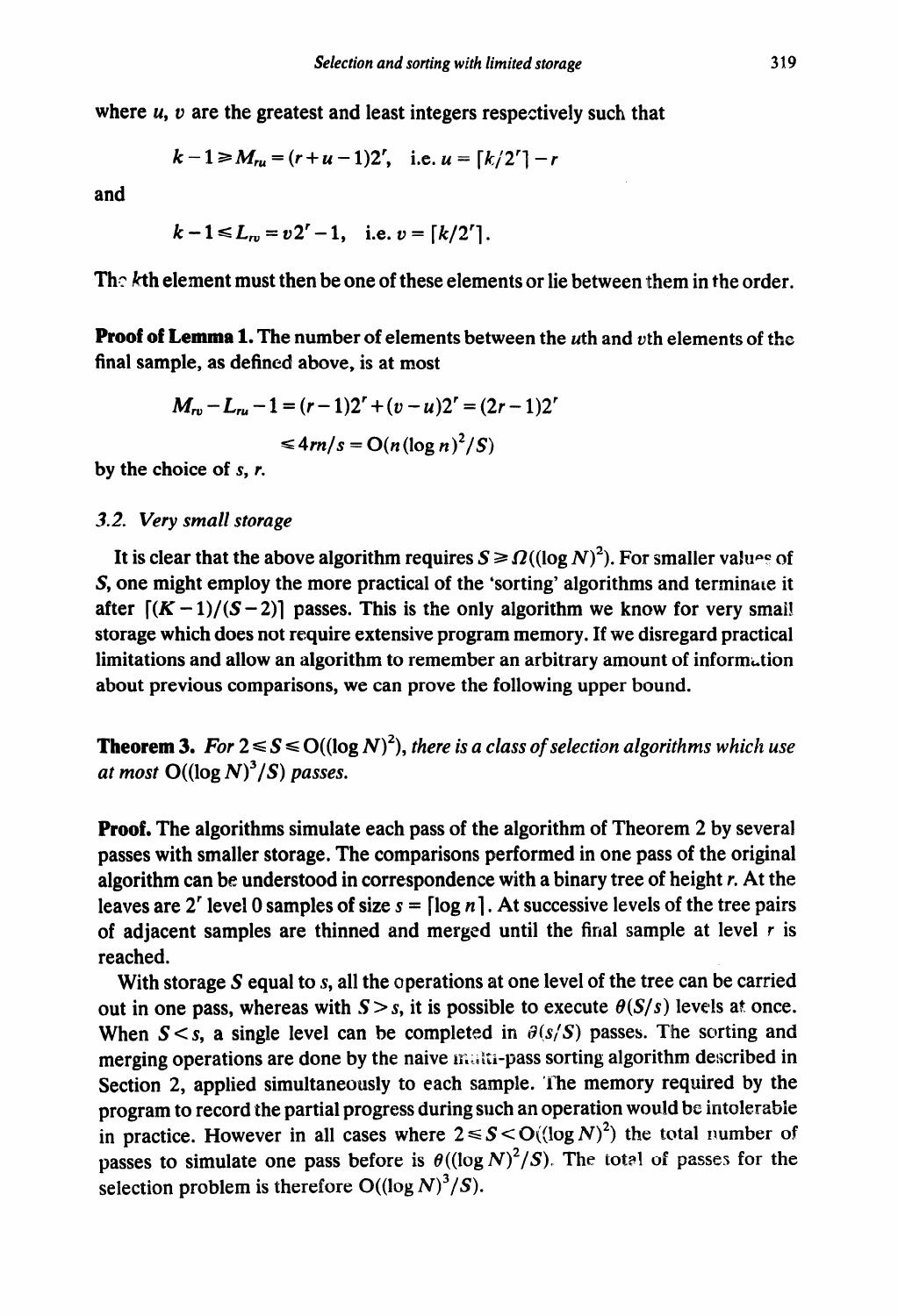where  $u$ ,  $v$  are the greatest and least integers respectively such that

$$
k-1 \ge M_{ru} = (r+u-1)2^r
$$
, i.e.  $u = \lfloor k/2^r \rfloor - r$ 

and

$$
k-1 \le L_{rv} = v2^r-1
$$
, i.e.  $v = \lfloor k/2^r \rfloor$ .

The  $k$ th element must then be one of these elements or lie between them in the order.

**Proof of Lemma 1. The** number of elements between the uth and vth elements of the final sample, as defined above, is at most

$$
M_{rv} - L_{ru} - 1 = (r - 1)2^r + (v - u)2^r = (2r - 1)2^r
$$
  

$$
\leq 4rn/s = O(n(\log n)^2/S)
$$

by the choice of s, *r.* 

### **3.2.** *Very small storage*

It is clear that the above algorithm requires  $S \ge \Omega((\log N)^2)$ . For smaller values of S, one might employ the more practical of the 'sorting' algorithms and terminate it after  $[(K-1)/(S-2)]$  passes. This is the only algorithm we know for very small storage which does not require extensive program memory. If we disregard practical limitations and allow an algorithm to remember an arbitrary amount of information about previous comparisons, we can prove the following upper bound.

**Theorem 3.** For  $2 \le S \le O((\log N)^2)$ , *there is a class of selection algorithms which use at most*  $O((\log N)^3/S)$  *passes.* 

**Proof.** The algorithms simulate each pass of the algorithm of Theorem 2 by several passes with smaller storage. The comparisons performed in one pass of the original algorithm can be understood in correspondence with a binary tree of height *r.* At the leaves are 2<sup>'</sup> level 0 samples of size  $s = \lceil \log n \rceil$ . At successive levels of the tree pairs of adjacent samples are thinned and merged until the final sample at level  $r$  is reached.

With storage S equal to s, all the operations at one level of the tree can be carried out in one pass, whereas with  $S > s$ , it is possible to execute  $\theta(S/s)$  levels at once. When  $S \leq s$ , a single level can be completed in  $\partial(s/S)$  passes. The sorting and merging operations are done by the naive maliti-pass sorting algorithm described in Section 2, applied simultaneously to each sample. The memory required by the program to record the partial progress during such an operation would be intolerable in practice. However in all cases where  $2 \le S \le O((\log N)^2)$  the total number of passes to simulate one pass before is  $\theta((\log N)^2/S)$ . The total of passes for the selection problem is therefore  $O((\log N)^3/S)$ .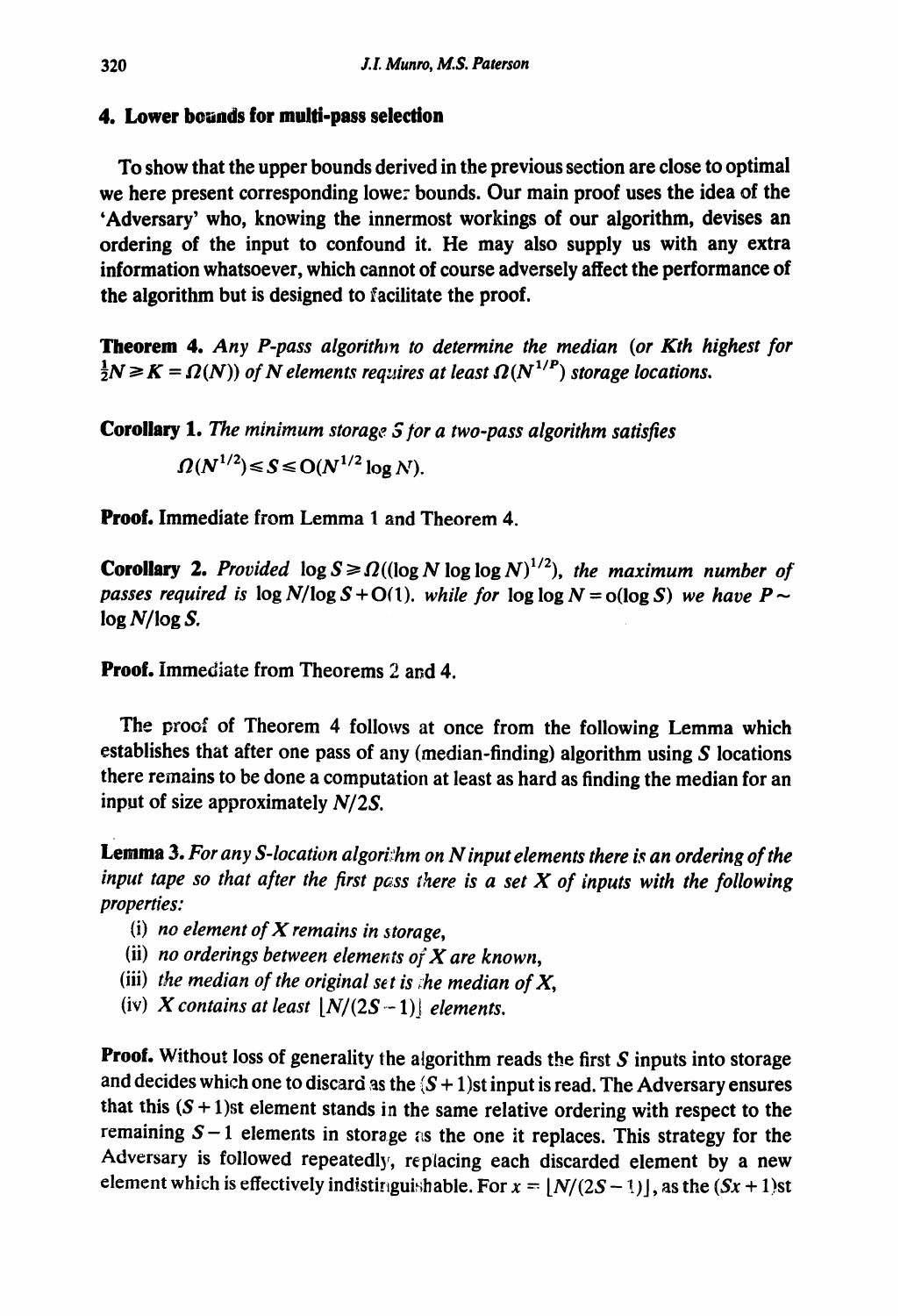# **4. Lower bounds for multi-pass selection**

To show that the upper bounds derived in the previous section are close to optimal we here present corresponding lowe: bounds. Our main proof uses the idea of the 'Adversary' who, knowing the innermost workings of our algorithm, devises an ordering of the input to confound it. He may also supply us with any extra information whatsoever, which cannot of course adversely affect the performance of the algorithm but is designed to facilitate the proof.

**Theorem** 4. *Any P-pass algorithm to determine the median (or Kth highest for*   $\frac{1}{2}N \geq K = \Omega(N)$ ) of N elements requires at least  $\Omega(N^{1/P})$  storage locations.

**Corollary 1.** *The minimum storage Sfor a two-pass algorithm satisfies* 

 $\Omega(N^{1/2}) \le S \le O(N^{1/2} \log N)$ .

**Proof.** Immediate from Lemma 1 and Theorem 4.

**Corollary 2.** Provided  $\log S \ge \Omega((\log N \log \log N)^{1/2})$ , the maximum number of *passes required is*  $\log N/\log S + O(1)$ . *while for*  $\log \log N = o(\log S)$  we have  $P \sim$ *log N/log S.* 

**Proof.** Immediate from Theorems 2 and 4.

The proof of Theorem 4 follows at once from the following Lemma which establishes that after one pass of any (median-finding) algorithm using  $S$  locations there remains to be done a computation at least as hard as finding the median for an input of size approximately N/2S.

**Lemma 3.** *For any S-location algori::hm on N input elements there is an ordering of the input tape so that after the first pass there is a set X of inputs with the following properties:* 

- (i) *no element of X remains in 3 torage,*
- (ii) *no orderings between elements of X are known,*
- (iii) *the median of the original set is ;he median of X,*
- (iv) X contains at least  $[N/(2S-1)]$  elements.

Proof. Without loss of generality the algorithm reads the first S inputs into storage and decides which one to discard as the  $(S + 1)$ st input is read. The Adversary ensures that this  $(S + 1)$ st element stands in the same relative ordering with respect to the remaining  $S-1$  elements in storage as the one it replaces. This strategy for the Adversary is followed repeatedly, replacing each discarded element by a new element which is effectively indistinguishable. For  $x = \lfloor N/(2S-1) \rfloor$ , as the  $(Sx + 1)$ st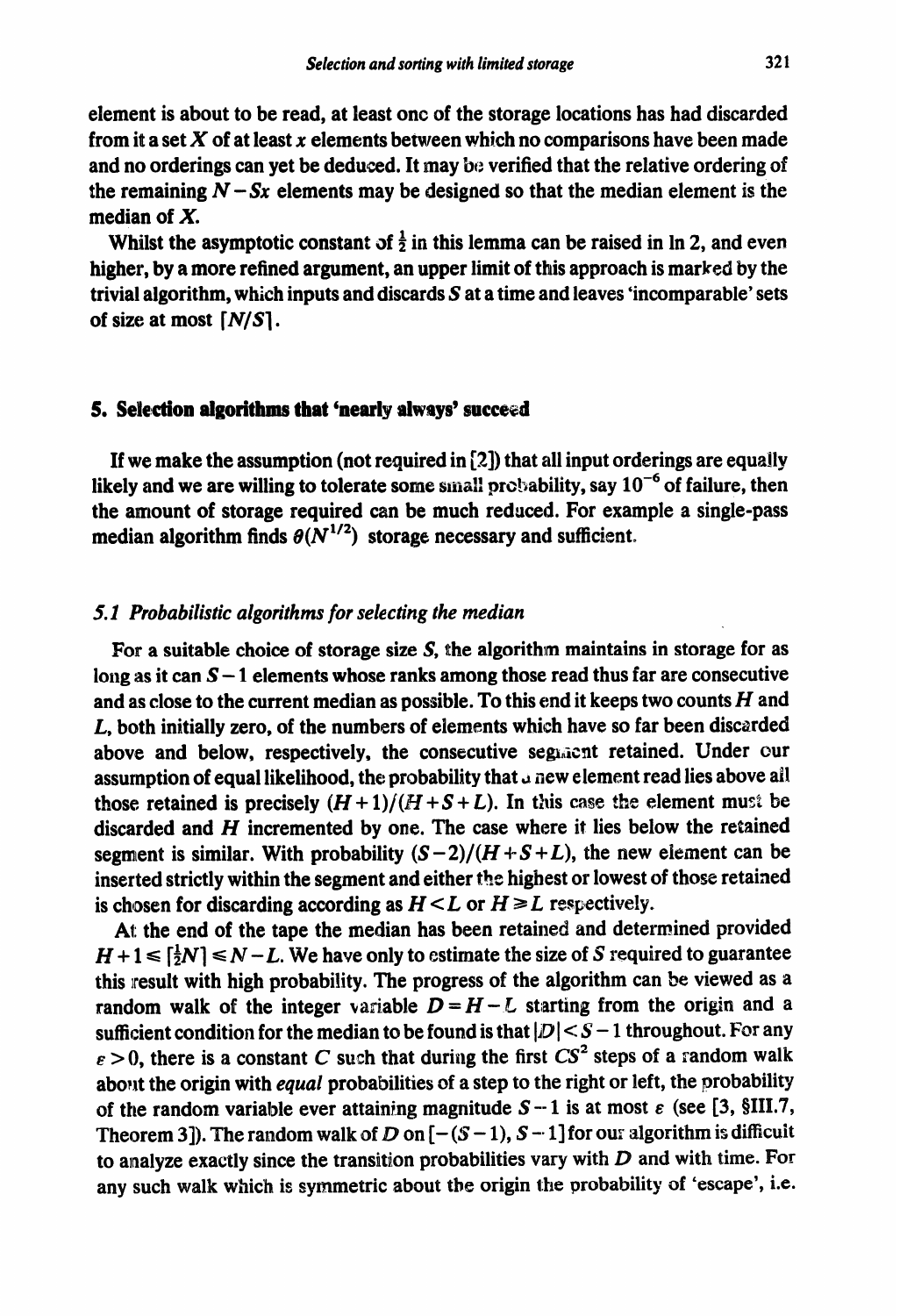element is about to be read, at least one of the storage locations has had discarded from it a set  $X$  of at least  $x$  elements between which no comparisons have been made and no orderings can yet be deduced. It may be verified that the relative ordering of the remaining  $N - Sx$  elements may be designed so that the median element is the median of X.

Whilst the asymptotic constant of  $\frac{1}{2}$  in this lemma can be raised in ln 2, and even higher, by a more refined argument, an upper limit of this approach is marked by the trivial algorithm, which inputs and discards S at a time and leaves 'incomparable' sets of size at most [N/S].

### **5. Selection algorithms that 'nearly always' succeed**

If we make the assumption (not required in [2]) that all input orderings are equally likely and we are willing to tolerate some small probability, say  $10^{-6}$  of failure, then the amount of storage required can be much reduced. For example a single-pass median algorithm finds  $\theta(N^{1/2})$  storage necessary and sufficient.

## *5.1 Probabilistic algorithms for selecting the median*

For a suitable choice of storage size S, the algorithm maintains in storage for as long as it can  $S-1$  elements whose ranks among those read thus far are consecutive and as close to the current median as possible. To this end it keeps two counts *H* and *L,* both initially zero, of the numbers of elements which have so far been discarded above and below, respectively, the consecutive segranties retained. Under our assumption of equal likelihood, the probability that  $\alpha$  new element read lies above all those retained is precisely  $(H+1)/(H+S+L)$ . In this case the element must be discarded and *H* incremented by one. The case where it lies below the retained segment is similar. With probability  $(S-2)/(H+S+L)$ , the new element can be inserted strictly within the segment and either the highest or lowest of those retained is chosen for discarding according as  $H \leq L$  or  $H \geq L$  respectively.

At the end of the tape the median has been retained and determined provided  $H+1 \leq \left[\frac{1}{2}N\right] \leq N-L$ . We have only to estimate the size of S required to guarantee this result with high probability. The progress of the algorithm can be viewed as a random walk of the integer variable  $D = H - L$  starting from the origin and a sufficient condition for the median to be found is that  $|D| < S - 1$  throughout. For any  $\epsilon > 0$ , there is a constant C such that during the first CS<sup>2</sup> steps of a random walk about the origin with *equal* probabilities of a step to the right or left, the probability of the random variable ever attaining magnitude  $S - 1$  is at most  $\varepsilon$  (see [3, §III.7, Theorem 3]). The random walk of D on  $[-(S-1), S-1]$  for our algorithm is difficult to analyze exactly since the transition probabilities vary with  $D$  and with time. For any such walk which is symmetric about the origin the probability of 'escape', i.e.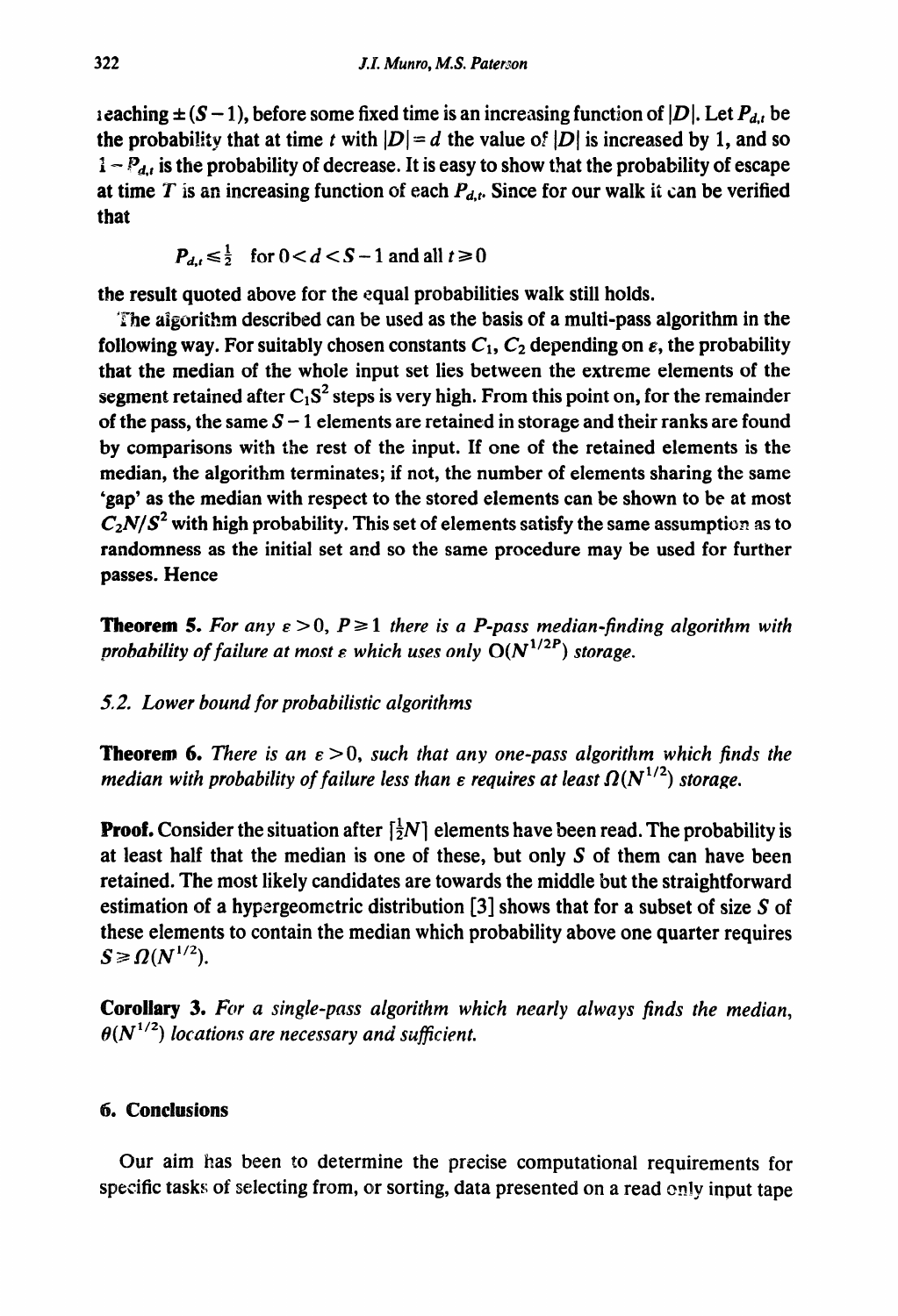ieaching  $\pm (S - 1)$ , before some fixed time is an increasing function of  $|D|$ . Let  $P_{d,t}$  be the probability that at time t with  $|D|= d$  the value of  $|D|$  is increased by 1, and so  $1 - P_{d,t}$  is the probability of decrease. It is easy to show that the probability of escape at time T is an increasing function of each  $P_{d,t}$ . Since for our walk it can be verified that

$$
P_{d,t} \leq \frac{1}{2} \quad \text{for } 0 < d < S - 1 \text{ and all } t \geq 0
$$

**the** result quoted above for the equal probabilities walk still holds.

'rhe algorithm described can be used as the basis of a multi-pass algorithm in the following way. For suitably chosen constants  $C_1$ ,  $C_2$  depending on  $\varepsilon$ , the probability that the median of the whole input set lies between the extreme elements of the segment retained after  $C_1S^2$  steps is very high. From this point on, for the remainder of the pass, the same  $S-1$  elements are retained in storage and their ranks are found by comparisons with the rest of the input. If one of the retained elements is the median, the algorithm terminates; if not, the number of elements sharing the same 'gap' as the median with respect to the stored elements can be shown to be at most  $C_2N/S^2$  with high probability. This set of elements satisfy the same assumption as to randomness as the initial set and so the same procedure may be used for further passes. Hence

**Theorem 5.** For any  $\varepsilon > 0$ ,  $P \ge 1$  there is a P-pass median-finding algorithm with *probability of failure at most*  $\varepsilon$  *which uses only*  $O(N^{1/2P})$  *storage.* 

# 5.2. *Lower bound for probabilistic algorithms*

**Theorem 6.** *There is an*  $\epsilon > 0$ *, such that any one-pass algorithm which finds the median with probability of failure less than*  $\epsilon$  *requires at least*  $\Omega(N^{1/2})$  *storage.* 

**Proof.** Consider the situation after  $\left[\frac{1}{2}N\right]$  elements have been read. The probability is at least half that the median is one of these, but only  $S$  of them can have been retained. The most likely candidates are towards the middle but the straightforward estim ation of a hypergeometric distribution *[3]* shows that for a subset of size S of these elements to contain the median which probability above one quarter requires  $S \geqslant \Omega(N^{1/2})$ .

**Corollary** *3. For a single-pass algorithm which nearly always finds the median,*   $\theta(N^{1/2})$  locations are necessary and sufficient.

# . **Conclusions**

Our aim has been to determine the precise computational requirements for specific tasks of selecting from, or sorting, data presented on a read only input tape